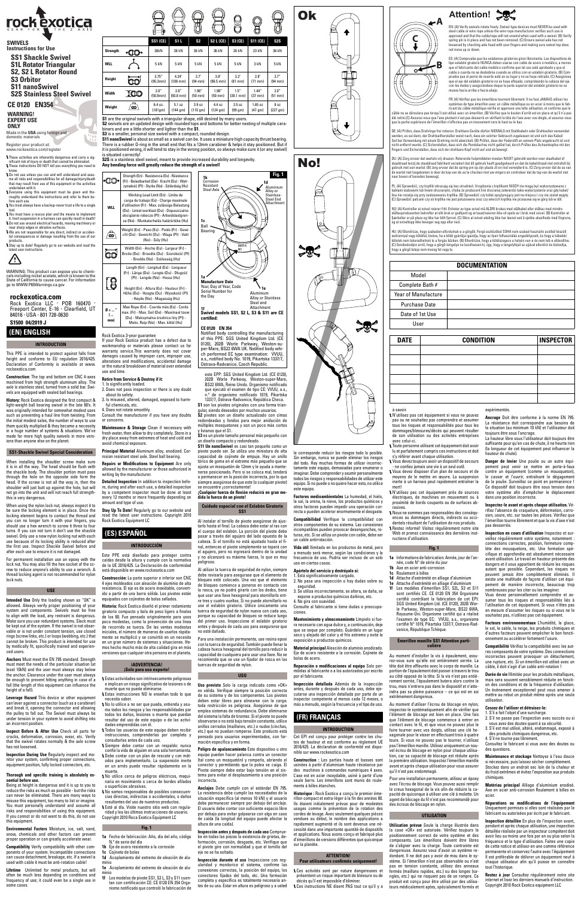| <b>UAIL</b> | <b><i>UUNDITIUN</i></b> | <b>INSPECTUR</b> |
|-------------|-------------------------|------------------|
|             |                         |                  |
|             |                         |                  |
|             |                         |                  |
|             |                         |                  |
|             |                         |                  |
|             |                         |                  |
| à savoir    | exnérimentés            |                  |

pas ou ne souhaitez pas comprendre et assumer tous les risques et responsabilités pour tous les dommages/blessures/décès qui peuvent résulter utilisation ou des activités entreprises

avec celui-ci.

Toute personne utilisant cet équipement doit avoir lu et parfaitement compris ces instructions et doit s'y référer avant chaque utilisation.

Vous devez toujours avoir un dispositif de secours - ne confiez jamais une vie à un seul outil. Vous devez disposer d'un plan de secours et de moyens de le mettre en œuvre. La suspension inerte à un harnais peut rapidement entraîner la

**Fig. 1 Fig. 1 1a** Informations de fabrication: Année, jour de l'année, code N° de série du jour **1b** Axe en acier anti-corrosion **1c** Roulement à billes

mort!

N'utilisez pas cet équipement près de sources électriques, de machines en mouvement ou à proximité de bords coupants ou de surfaces ab-

rasives.

Nous ne sommes pas responsables des conséquences ou dommages directs, indirects ou accidentels résultant de l'utilisation de nos produits. Restez informé! Visitez régulièrement notre site Web et prenez connaissance des dernières inst-

ructions d'utilisation.

**1d** Attache d'extrémité en alliage d'aluminium Attache d'extrémité en alliage d'alumin **1f** Les modèles d'émerillon SS1, S2L, S3 et S11 sont certifiés CE. CE 0120 EN 354 Organisme certifié contrôlant la fabrication de cet EPI: SGS United Kingdom Ltd. (CE 0120), 202B Worle Parkway, Weston-super-Mare, BS22 6WA, Royaume-Uni. Organisme certifié qui a réalisé l'examen de type EC: VVUU, a.s., organisme certifié N° 1019, Pikartska 1337/7, Ostrava-Rad-

vanice, République Tchèque.

**Émerillon manille SS1 Attention particulière**

**Utilisation prévue** Seule la charge illustrée dans<br>la case «OK» est autorisée. Vérifiez toujours le positionnement correct de votre système et des composants. Les émerillons doivent être libres de s'aligner avec la charge. Toute contrainte est dangereuse. Assurez vous d'avoir un système redondant. Il ne doit pas y avoir de mou dans le stème. Si l'émerillon n'est pas observable ou n'est pas en tension constante, utilisez des anneaux fermés (maillons rapides, etc.) ou des longes (sangles, etc.) qui ne risquent pas de se rompre. Ce produit est conçu pour être utilisé par des utilisateurs médicalement aptes, spécialement formés et

#### N'utilisez pas cet équipement si vous ne pouvez expérimentés.

rez-vous sure qu'elle est entièrement serrée. La tête doit être affleurée avec le corps de manille. La portion de l'épaulement doit passer à travers le trou au côté opposé de la tête. Si la vis n'est pas entièrement serrée, l'épaulement butera alors contre le trou, mais n'entrera pas dans le dispositif et n'atteindra pas sa pleine puissance – ce qui est en soi extrêmement dangereux.

**Danger de levier** Une poulie ou un autre équi-<br>pement peut venir se mettre en porte-à-faux<br>contre un équipement (comme un mousqueton), le casser et l'ouvrir, entraînant le dégagement de la poulie. Surveillez ce point en permanence ! Ce dispositif doit toujours être sous tension dans votre système afin d'empêcher le déplacement dans une position incorrecte.

Au moment d'utiliser l'écrou de blocage en nylon, inspectez-le systématiquement afin de vérifier que l'élément de blocage est bien en place. Une fois que l'élément de blocage commence à entrer en contact avec le fil, et que vous ne pouvez plus le faire tourner avec vos doigts, utilisez une clé hexagonale pour le visser en effectuant trois à quatre tours. Si vous ne pouvez pas le tourner, n'utilisez pas l'émerillon manille. Utilisez uniquement un nouver enforment manner ennece and demonstrative tion, car sa capacité de blocage est réduite après la première utilisation. Inspectez l'émerillon manille avant et après chaque utilisation pour vous assure qu'il n'est pas endommagé.

Pour une installation permanente, utilisez un époxy avec l'écrou de blocage. Vous pouvez aussi rempli le creux hexagonal de la vis afin de réduire la capacité de quiconque à utiliser une clé à molette. Un agent de blocage du fil n'est pas recommandé pour des écrous de blocage en nylon.

#### **UTILISATION**

onsultez le fabricant si vous avez des doutes ou des questions.

**Ancrage** Doit être conforme à la norme EN 795. La résistance doit correspondre aux besoins de la situation (au minimum 10 kN) et l'utilisateur doit toujours être sous l'ancrage. La hauteur libre sous l'utilisateur doit toujours être

suffisante pour qu'en cas de chute, il ne heurte rien (la longueur de cet équipement peut influencer la hauteur de chute).

When using the nylon lock nut, always inspect it to be sure the locking element is in place. Once the locking element begins to contact the thread and you can no longer turn it with your fingers, you show the temperature term a year imperturns. If you can not turn it don't use the shackle swivel. Only use a new nylon locking nut with each use because of its locking ability is reduced after the first use. Inspect Shackle Swivel before and after each use to ensure it is not damaged.

### **Inspectez-le avant et après chaque utilisation.** Vé-

rifiez l'absence de craquelure, déformation, corro-sion, usure, etc. sur toutes les pièces. Vérifiez que l'émerillon tourne librement et que la vis d'axe n'est pas desserrée. **Inspection en cours d'utilisation** Inspectez et sur-

veillez régulièrement votre système, notamment : connections correctes, position, fermeture comp-lète des mousquetons, etc. Une formation spécifique et approfondie est absolument nécessaire avant utilisation. Le travail en hauteur présente des dangers et il vous appartient de réduire les risques autant que possible. Cependant, les risques ne peuvent jamais être complètement éliminés. Il existe une multitude de façons d'utiliser cet équipement de manière incorrecte, beaucoup trop mande as manueles massically accurate Vous devez personnellement comprendre et assumer tous les risques et responsabilités liés à l'utilisation de cet équipement. Si vous n'êtes pas en mesure d'assumer les risques ou si vous ne le souhaitez pas, n'utilisez pas cet équipement. **Facteurs environnementaux** L'humidité, la glace, le sel, le sable, la neige, les produits chimiques et d'autres facteurs peuvent empêcher le bon fonctionnement ou accélérer fortement l'usure. **Compatibilité** Vérifiez la compatibilité avec les aut-

**Leverage Hazard** This device or other equipment can lever against a connector (such as a carabiner) and break it, opening the connector and allowin the pulley to fall out. The Swivel must always be under tension in your system to avoid shifting into an incorrect position.

**Inspection During Use** Regularly inspect and monitor your system, confirming proper connections, equipment position, fully locked connectors, etc.

res composants de votre système. Des connections incorrectes peuvent provoquer un détachement, une runture, etc. Si un émerillon est utilisé av câble, il doit s'agir d'un cable anti-rotation !

**Durée de vie** Illimitée pour les produits métalliques, mais sera souvent sensiblement réduite en fonction des conditions et de la fréquence d'utilisation. Un événement exceptionnel peut vous amener à mettre au rebut un produit même après une seule utilisation.

### **Cessez de l'utiliser et détruisez-le:**

- 
- 1. S'il a fait l'objet d'une surcharge. 2. S'il ne passe pas l'inspection avec succès ou si vous avez des doutes quant à sa sécurité.
- 3. S'il est mal utilisé, altéré, endommagé, exposé à des produits chimiques dangereux, etc.
- 4. S'il ne tourne pas librement.

**Maintenance et stockage** Nettoyez à l'eau douce si nécessaire, puis laissez sécher complètement. Stockez dans un endroit sec loin de la chaleur et du froid extrêmes et évitez l'exposition aux produits chimiques.

**Matériau principal** Alliage d'aluminium anodisé. Axe en acie acier.

**Réparations ou modifications de l'équipement** Uniquement permises si elles sont réalisées par le fabricant ou autorisées par écrit par le fabricant.

**Inspection détaillée** En plus de l'inspection avant, pendant et après chaque utilisation, une inspection détaillée réalisée par un inspecteur compétent doit avoir lieu au moins une fois par an ou plu fréquence et le type d'utilisation. Faites une copie de cette notice et utilisez-en une comme référence permanente et conservez l'autre avec l'équipement Il est préférable de délivrer un équipement neuf à chaque utilisateur afin qu'il puisse en connaître tout l'historique.

**Restez à jour** Consultez régulièrement notre site internet et lisez les derniers manuels d'instruction. Copyright 2010 Rock Exotica equipment LLC

Au moment d'installer la vis à épaulement, assu-Eje de acero resistente a la corrosión. Cojinete de

# Attention!

**These activities are inherently dangerous and carry a sig**nificant risk of injury or death that cannot be eliminated. These instructions DO NOT tell you everything you need to

# **INTRODUCTION**

This PPE is intended to protect against falls from height and conforms to EU regulation 2016/425. Declaration of Conformity is available at www. rockexotica.com

**Construction:** The top and bottom are CNC 4-axes machined from high strength aluminum alloy. The axle is stainless steel, turned from a solid bar. Swivels are equipped with sealed ball bearings.

**History:** Rock Exotica designed the first compact & light-weight ball bearing swivel in the late 80's. It was originally intended for somewhat modest uses such as preventing a haul line from twisting. From the initial modest sales, the number of ways to use them quickly multiplied & they became a necessity in a huge number of systems & situations. We've made far more high quality swivels in more versions than anyone else on the planet.

### **SS1-Shackle Swivel Special Consideration**

ful chemicals, etc. 4. Does not rotate smoothly. Consult the manufacturer if you have any doubts

When installing the shoulder screw make sure it is in all the way. The head should be flush with the shackle body. The shoulder portion must pass through the hole on the opposite side form the head. If the screw is not all the way in, then the shoulder will just butt up against the hole, but will not go into the unit and will not reach full strengththis is very dangerous.

> **Construcción:** La parte superior e inferior son CNC 4 ejes moldeados con aleación de aluminio de alta resistencia. El eje es de acero inoxidable, convertido a partir de una barra sólida. Los pivotes están equipados con cojinetes de bolas se

For permanent installation use an epoxy with the lock nut. You may also fill the hex socket of the screw to reduce anyone's ability to use a wrench. A thread locking agent is not recommended for nylon lock nuts.

### **USE**

**Intended Use** Only the loading shown as "OK" is allowed. Always verify proper positioning of your system and components. Swivels must be free to align with the load, any restraint is dangerous. Make sure you use redundant systems. Slack must be kept out of the system. If the swivel is not obser-vable or is not under constant tension, use closed rings (screw links, etc.) or loops (webbing, etc.) that cannot be broken. This product is intended for use by medically fit, specifically trained and experienced users.

**Anchors** Must meet the EN 795 standard. Strength must meet the needs of the particular situation (at least 10kN) and the user must always stay below the anchor. Clearance under the user must always be enough to prevent hitting anything in case of a fall (the length of this equipment can influence the height of a fall).

> minio<br>**1f** Los modelos de pivote SS1, S2 L, S3 y S11 cuen-<br>tan con certificación CE: CE 0120 EN 354 Organismo notificado que controló la fabricación de

**S11 nanoSwivel** is about as small as a swivel can be. It uses a miniature high capacity thrust bearing. There is a rubber O-ring in the small end that fits a 12mm carabiner & helps it stay positioned. But if it is positioned wrong, it will tend to stay in the wrong position, so always make sure it (or any swivel) is situated correctly!

**Inspect Before & After Use** Check all parts for cracks, deformation, corrosion, wear, etc. Verify that the swivel rotates normally & the axle screw has not loosened.

#### **Thorough and specific training is absolutely essential before use.**

Being at height is dangerous and it is up to you to reduce the risks as much as possible - but the risks can never be eliminated. There are many ways to pair note: so emimiated: there are many trays You must personally understand and assume all risks and responsibilities of using this equipment. If you cannot or do not want to do this, do not use this equipment.

**Environmental Factors** Moisture, ice, salt, sand, snow, chemicals and other factors can prevent proper operation or can greatly accelerate wear.

**Compatibility** Verify compatibility with other components of your system. Incompatible connections can cause detachment, breakage, etc. If a swivel is used with cable it must be anti-rotation cable!

**Lifetime** Unlimited for metal products, but will often be much less depending on conditions and frequency of use; it could even be a single use in some cases.

le corresponde reducir los riesgos todo lo posible. embargo, nunca se puede eliminar los riesgos del todo. Hay muchas formas de utilizar incorrectamente este equipo, demasiadas para enumerar o imaginar. Debe comprender y asumir personalmente todos los riesgos y responsabilidades de utilizar este equipo. Si no puede o no quiere hacer esto, no utilice este equipo.

### **(EN) ENGLISH S1500 04/2019 J**

**Factores medioambientales** La humedad, el hielo, la sal, la arena, la nieve, los productos químicos y otros factores pueden impedir una operación correcta o pueden acelerar enormemente el desgaste.

**Compatibilidad** Verifique la compatibilidad con otros componentes de su sistema. Las conexiones incompatibles pueden provocar desenganches, ro-turas, etc. Si se utiliza un pivote con cable, debe ser

un cable antirrotación. **Vida útil** Ilimitada en los productos de metal, pero a menudo será menor, según las condiciones y la

### frecuencia de uso. Podría ser incluso de un solo uso en ciertos casos.

### **Apártelo del servicio y destrúyalo si:**

1. Está significativamente cargado. 2. No pasa una inspección o hay dudas sobre su seguridad.

3. Se utiliza incorrectamente, se altera, se daña, se expone a productos químicos dañinos, etc. 4. No gira con suavidad.

Consulte al fabricante si tiene dudas o preocupaciones. **Mantenimiento y almacenamiento** Límpielo si fue-

ra necesario con agua dulce y, a continuación, deje que se seque por completo. Guárdelo en un lugar seco y alejado del calor y el frío extremo y evite la exposición a productos químicos. **Material principal** Aleación de aluminio anodizado.

**Reparación o modificaciones al equipo** Solo permitidas al fabricante o a los autorizados por escrito por el fabricante.

**Inspección detallada** Además de la inspección antes, durante y después de cada uso, debe ejecutarse una inspección detallada por parte de un inspector competente al menos cada 12 meses, o más a menudo, según la frecuencia y el tipo de uso.

# **(FR) FRANÇAIS**

las de acero.

#### **INTRODUCTION**

Cet EPI est conçu pour protéger contre les chutes de hauteur et est conforme au règlement UE 2016/425. La déclaration de conformité est disponible sur www.rockexotica.com

**Construction :** Les parties haute et basses sont usinées à partir d'aluminium haute résistance par des machines à commandes numériques 4 axes. L'axe est en acier inoxydable, usiné à partir d'une seule barre. Les émerillons sont munis de roulements à billes étanches.

**Historique :** Rock Exotica a conçu le premier émerillon compact et extra-léger à la fin des années 80. Ils étaient initialement prévus pour de modestes usages comme la prévention de la rotation des cordes de levage. Avec seulement quelques pièces vendues au début, le nombre des applications a rapidement augmenté et ils sont devenus une nécessité dans une importante quantité de dispositifs et applications. Nous avons conçu et fabriqué plus d'émerillons de versions différentes que quiconque sur la planète.

#### **ATTENTION!**

#### **Pour utilisateurs confirmed**

Ces activités sont par nature dangereuses et présentent un risque important de blessure ou de décès qu'il est impossible d'éliminer. Ces instructions NE disent PAS tout ce qu'il y a

DU: (A) Zorg ervoor dat wartels vrij draaien. Roterende hulpmiddelen moeten NOOIT gebruikt worden voor staalkabel of<br>staaldraad tenzij de staaldraad fabrikant verzekert dat dit gebruik heeft goedgekeurd en dat de kabel/dra gebruik met een wartel. (B) zorg ervoor dat de spring-pin op zijn plaats zit en niet verwijderd is. (C) Zorg ervoor dat de as van<br>de wartel niet losgekomen is door de kop van de as te checken met uw vingers en controleer d naar boven of beneden beweegt.

PL: (A) Sprawdzić, czy krętliki obracają się bez utrudnień. Urządzenia z krętlikami NIGDY nie mogą być wykorzystywane z kablami stalowymi lub linami drucianymi, chyba że producent linii drucianej zatwierdzi takie wykorzystanie oraz gdy kabel/<br>lina nie rozwija się przy zastosowaniu krętlika. (B) Sprawdzić czy kołek sprężynujący jest na miejs

know. Do not use unless you can and will understand and assume all risks and responsibilities for all damage/injury/death that may result from use of this equipment or the activities

undertaken with it. Everyone using this equipment must be given and tho-roughly understand the instructions and refer to them be-

fore each use. You must always have a backup-never trust a life to a single

tool. You must have a rescue plan and the means to implement it. Inert suspension in a harness can quickly result in death! Do not use around electrical hazards, moving machinery or

near sharp edges or abrasive surfaces. We are not responsible for any direct, indirect or accidental consequences or damage resulting from the use of our

Register your product at: . . . .<br>m/register

products. Stay up to date! Regularly go to our website and read the latest user instructions.



WARNING: This product can expose you to chemicals including nickel acetate, which is known to the State of California to cause cancer. For information go to WWW.P65Warnings.ca.gov

 **S2, S2 L Rotator Round**

 **S3 Orbitor S11 nanoSwivel**

 **SS1 Shackle Swivel S1L Rotator Triangular Instructions for Use**

 **S2S Stainless Steel Swivel**

**WARNING! EXPERT USE**

**ONLY**



### **SWIVELS**

**CE 0120 EN354**

Made in the **USA** using foreign and domestic materials

### **rockexotica.com**

Rock Exotica LLC **·** POB 160470 **·** Freeport Center, E-16 **·** Clearfield, UT 84016 **·** USA **·** 801 728-0630

### Rock Exotica 3-year guarantee

If your Rock Exotica product has a defect due to workmanship or materials please contact us for warranty service.This warranty does not cover damages caused by improper care, improper use, alterations and modifications, accidental damage or the natural breakdown of material over extended use and time.

### **Retire from Service & Destroy if it:**

1. Is significantly loaded. 2. Does not pass inspection or there is any doubt

about its safety. 3. Is misused, altered, damaged, exposed to harm-

or concerns. **Maintenance & Storage** Clean if necessary with

fresh water, then allow to dry completely. Store in a dry place away from extremes of heat and cold and avoid chemical exposure.

**Principal Material** Aluminum alloy, anodized. Cor-rosion resistant steel axle. Steel ball bearing. **Repairs or Modifications to Equipment** Are only

allowed by the manufacturer or those authorized in writing by the manufacturer.

**Detailed Inspection** In addition to inspection before, during and after each use, a detailed inspection by a competent inspector must be done at least every 12 months or more frequently depending on amount and type of use.

**Stay Up To Date!** Regularly go to our website and read the latest user instructions. Copyright 2010 Rock Exotica Equipment LC

# **(ES) ESPAÑOL**

### **INTRODUCCIÓN**

Este PPE está diseñado para proteger contra caídas desde la altura y cumple con la normativa de la UE 2016/425. La Declaración de conformidad está disponible en www.rockexotica.com

**Historia:** Rock Exotica diseñó el primer rodamiento giratorio compacto y bola de peso ligero a finales de los 80. Fue pensado originalmente para usos poco modestas, como la prevención de una línea de recorrido se tuerza. De las ventas modestas iniciales, el número de maneras de usarlos rápidamente se multiplicó y se convirtió en un necesita en un gran número de sistemas y situaciones. Hemos hecho mucho más de alta calidad gira en más versiones que cualquier otra persona en el planeta.

#### **¡ADVERTENCIA! ¡Solo para uso experto!**

Estas actividades son intrínsecamente peligrosas e implican un riesgo significativo de lesiones o de muerte que no puede eliminarse.

Estas instrucciones NO le enseñan todo lo que necesita saber.

No lo utilice a no ser que pueda, entienda y asuma todos los riesgos y las responsabilidades por todos los daños, lesiones o muerte que puedan resultar del uso de este equipo o de las actividades emprendidas con él.

Todos los usuarios de este equipo deben recibir instrucciones, comprenderlas por completo y consultarlas antes de cada uso.

Siempre debe contar con un respaldo: nunca confíe la vida de alguien en una sola herramienta. Debe contar con un plan de rescate y con métodos para implementarlo. La suspensión inerte en un arnés puede resultar rápidamente en la muerte.

No utilice cerca de peligros eléctricos, maquinaria en movimiento o cerca de bordes afilados o superficies abrasivas.

No somos responsables de posibles consecuencias directas, indirectas o accidentales, o daños resultantes del uso de nuestros productos. Esté al día. Visite nuestro sitio web con regularidad y lea las últimas instrucciones de usuario. Copyright 2010 Roca Exotica Equipment LC

### **Fig. 1**

- **1a** Fecha de fabricación: Año, día del año, código N.º de serie del día
- **1b** Eje de acero resistente a la corrosión
- 

**1c** Cojinete de bolas **1d** Acoplamiento del extremo de aleación de alu-minio

**1e** Acoplamiento del extremo de aleación de alu-

| <b>DOCUMENTATION</b> |  |                  |                  |  |  |  |  |
|----------------------|--|------------------|------------------|--|--|--|--|
| Model                |  |                  |                  |  |  |  |  |
| Complete Bath #      |  |                  |                  |  |  |  |  |
| Year of Manufacture  |  |                  |                  |  |  |  |  |
| <b>Purchase Date</b> |  |                  |                  |  |  |  |  |
| Date of 1st Use      |  |                  |                  |  |  |  |  |
| User                 |  |                  |                  |  |  |  |  |
|                      |  |                  |                  |  |  |  |  |
| <b>DATE</b>          |  | <b>CONDITION</b> | <b>INSPECTOR</b> |  |  |  |  |
|                      |  |                  |                  |  |  |  |  |

**S1** are the original swivels with a triangular shape, still desired by many users. **S2** swivels are an updated design with rounded tops and bottoms for better nesting of multiple carabiners and are a little shorter and ligther than the **S1**.

**S3** is a smaller, personal size swivel with a compact, rounded design.

**S2S** is a stainless steel swivel, meant to provide increased durability and longevity. **Any bending force will greatly reduce the strength of a swivel!**

Notified body controlling the manufacturing of this PPE: SGS United Kingdom Ltd. (CE 0120), 202B Worle Parkway, Weston-su-per-Mare, BS22 6WA UK. Notified body which performed EC type examination: VVUU, a.s., notified body No. 1019, Pikartska 1337/7, Ostrava-Radvanice, Czech Republic.

|                   |                    |                               | Ü                            |                              |                                | ⊞                      | ЛЩ                         |
|-------------------|--------------------|-------------------------------|------------------------------|------------------------------|--------------------------------|------------------------|----------------------------|
|                   | <b>SS1 (CE)</b>    | <b>S1L</b>                    | S2                           | <b>S2 L (CE)</b>             | <b>S3 (CE)</b>                 | <b>S11 (CE)</b>        | S <sub>2</sub> S           |
| Strength          | 36kN               | 36 kN                         | 36 kN                        | 36 kN                        | 26 kN                          | 23 kN                  | 36 kN                      |
| <b>WLL</b>        | 5 kN               | 5 kN                          | 5 kN                         | 5 kN                         | 5 kN                           | 3 kN                   | 5 kN                       |
| Height<br>工       | 3.75''<br>(95.3mm) | 4.24"<br>$(108$ mm $)$        | 3.7"<br>$(94$ mm $)$         | 3.8"<br>$(96.5 \text{ mm})$  | 3.2"<br>$(81$ mm $)$           | 2.8"<br>$(71$ mm $)$   | 3.7''<br>$(94$ mm $)$      |
| tOC<br>Width      | 2.0"<br>(50.8mm)   | 2.0"<br>$(50.8 \, \text{mm})$ | 1.98''<br>$(50 \text{ mm})$  | 1.98''<br>$(50 \text{ mm})$  | 1.5''<br>$(38.1 \, \text{mm})$ | 1.44''<br>$(37$ mm $)$ | 2.0''<br>$(51$ mm $)$      |
| 叵<br>ത'<br>Weight | 6.4 oz.<br>(181gm) | 5.1 oz<br>(144 gm)            | 3.9 oz<br>$(110 \text{ qm})$ | 4.4 oz<br>$(124 \text{ qm})$ | 3.5 oz<br>(99 gm)              | 1.65 oz<br>(47 gm)     | 8 oz<br>$(227 \text{ gm})$ |

 $\Theta$ 









este EPP: SGS United Kingdom Ltd. (CE 0120), 202B Worle Parkway, Weston-super-Mare, BS22 6WA, Reino Unido. Organismo notificado que ejecutó el examen de tipo CE: VVUU, a.s., n.º de organismo notificado 1019, Pikartska 1337/7, Ostrava-Radvanice, República Checa. **S1** son los pivotes originales con una forma trian-

gular, siendo deseados por muchos usuarios. **S2** pivotes son un diseño actualizado con cimas redondeadas y fondos para mejor anidación de múltiples mosquetones y son un poco más cortos y livianos que el S1.

**S3** es un pivote tamaño personal más pequeño con un diseño compacto y redondeado.

**S11 Un nanoSwivel** es casi tan pequeño como un pivote puede ser. Se utiliza uno miniatura de alta capacidad de cojinete de empuje. Hay un anillo tórico de goma en el extremo más pequeño que se ajusta un mosquetón de 12mm y le ayuda a mantenerse posicionado. Pero si se coloca mal, tenderá a permanecer en la posición incorrecta, por lo que siempre asegúrese de que este (o cualquier pivote) se encuentre ¡correctamente!

**¡Cualquier fuerza de flexión reducirá en gran medida la fuerza de un pivote!**

# **Cuidado espacial con el Eslabón Giratorio SS1**

Al instalar el tornillo de pivote asegúrese de ajus-tarlo hasta el final. La cabeza debe estar al ras con el cuerpo del eslabón. La porción del pivote debe pasar a través del agujero del lado opuesto de la cabeza. Si el tornillo no está ajustado hasta el final, entonces el pivote simplemente se topará con el agujero, pero no ingresará dentro de la unidad y no alcanzará su máxima fuerza, lo que es muy peligroso.

Al utilizar la tuerca de seguridad de nylon, siempre debe revisarla para asegurase que el elemento de bloqueo esté colocado. Una vez que el elemento de bloqueo comience a ponerse en contacto con la rosca, ya no podrá girarlo con los dedos, tiene que usar una llave hexagonal para atornillarlo ent-re tres y cuatro vueltas. Si no puede atornillarlo no use el eslabón giratorio. Utilice únicamente una tuerca de seguridad de nylon nueva con cada uso, porque su capacidad de bloqueo se reduce luego del primer uso. Inspeccione el eslabón giratorio antes y después de cada uso para asegurarse que no esté dañado.

Para una instalación permanente, use resina epoxi con la tuerca de seguridad. También puede llenar la cabeza hueca hexagonal del tornillo para reducir la capacidad de cualquiera para usar una llave. No se recomienda que se use un fijador de rosca en las tuercas de seguridad de nylon.

### **USO**

**Uso previsto** Solo la carga indicada como «OK» es válida. Verifique siempre la posición correcta de su sistema y de los componentes. Los pivotes deben estar libres para alinearse con la carga: toda restricción es peligrosa. Asegúrese de que emplea sistemas de redundancia. Debe eliminarse del sistema la falta de tirantez. Si el pivote no puede observarse o no está bajo tensión constante, utilice anillos cerrados (maillones, etc.) o nudos (cinchas, etc.) que no puedan romperse. Este producto está pensado para usuarios experimentados, con formación específica y en forma.

**Peligro de apalancamiento** Este dispositivo u otro equipo pueden hacer palanca contra un conecto (tal como un mosquetón) y romperlo, abriendo el conector y permitiendo que la polea se caiga. El Pivote siempre debe estar bajo tensión en el tema para evitar el desplazamiento a una posición incorrecta.

**Anclajes** Debe cumplir con el estándar EN 795. La resistencia debe cumplir las necesidades de la situación específica (al menos 10 kN) y el usuario debe permanecer siempre por debajo del anclaje. El usuario debe contar con suficiente espacio libre por debaio para evitar golpearse con algo en caso de caída (la longitud del equipo puede afectar la altura de una caída).

**Inspección antes y después de cada uso** Compruebe en todas las piezas la existencia de grietas, deformación, corrosión, desgaste, etc. Verifique que el pivote gire con normalidad y que el tornillo del eje no se ha soltado.

**Inspección durante el uso** Inspeccione con regularidad y monitorice el sistema, confirme conexiones correctas, la posición del equipo, los conectores fijados del todo, etc. Una formación completa y específica es totalmente necesaria antes de su uso. Estar en altura es peligroso y a usted



EN: (A) Verify swivels rotate freely. Swivel-type devices must NEVER be used with steel cable or wire rope unless the wire rope manufacturer verifies such use is<br>approved and that the cable/rope will not unwind when used with a swivel. (B) Verify<br>spring pin is in place and has not been removed. (C) Ensu loosened by checking axle head with your fingers and making sure swivel top does not move up or down.

ES: (A) Compruebe que los eslabones giratorios giren libremente. Los dispositivos de<br>tipo eslabón giratorio NUNCA deben usare con cable de acero o metálico, a menos<br>que el fabricante del cable metálico confirme que tal uso

FR: (A) Vérifiez que les émerillons tournent librement. Il ne faut JAMAIS utiliser les systèmes de type émerillon avec un câble métallique ou en acier à moins que le fabricant du câble métallique vérifie et approuve une telle utilisation, et confirme que le

câble ne se déroulera pas lorsqu'il est utilisé avec un émerillon. (B) Vérifiez que le boulon d'arrêt est en place et qu'il n'a pas été retiré.(C) Assurez-vous que l'axe pivotant n'est pas desserré en vérifiant la tête de l'axe avec vos doigts, et assurez-vous que la partie supérieure de l'émerillon n'effectue pas un mouvement vers le haut ou le bas.

DE: (A) Prüfen, dass Drehringe frei rotieren. Drehbare Geräte dürfen NIEMALS mit Stahlkabeln oder Drahtseilen verwendet<br>werden, es sei denn, der Drahtseilhersteller weist nach, dass ein solcher Gebrauch zugelassen ist und

NO: (A) Kontroller at svivel roterer fritt. Enheter av type svivel må ALDRI brukes med stålkabel eller ståltau med mindre ståltauprodusenten bekrefter at slik bruk er godkjent og at tauet/vaieren ikke vil spole av i bruk med svivel. (B) Kontroller at<br>fjærbolter er på plass og ikke har blitt fjernet. (C) Sikre at svivel-aksling ikke har løsnet og at sviveltopp ikke beveger seg opp eller ned.

HU: (A) Ellenőrizze, hogy szabadon elfordulnak-e a görgők. Forgó eszközöket SOHA nem szabad használni acélból készült sodronnyal vagy kötéllel, kivéve, ha a kötél gyártója igazolja, hogy az ilyen felhasználás engedélyezett, és hogy a kábelek/<br>kötelek nem tekeredhetnek le a forgás közben. (B) Ellenőrizze, hogy a kötélszegecs a helyén van-e (C) Gondoskodjon arról, hogy a görgő-tengelye ne lazulhasson ki, úgy, hogy a tengelyfejet az ujjával ellenőrzi és biztosítja, hogy a görgő teteje nem mozog fel vagy le.